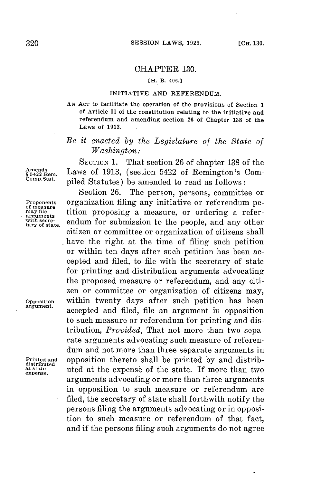## CHAPTER **130.**

## **[H. B. 406.]**

## **INITIATIVE AND REFERENDUM.**

*AN* **ACT to facilitate the operation of the provisions of Section 1 of Article II of the constitution relating to the initiative and referendum and amending section 26 of Chapter 138 of the Laws of 1913.**

## *Be it enacted by the Legislature of the State of Washington:*

**SECTION 1.** That section **26** of chapter **138** of the Amends<br>\$5422 Rem. Laws of 1913, (section 5422 of Remington's Com-<br>Comp.Stat. ...;11.1 Stat. tab.) piled Statutes) be amended to read as follows:

Section **26.** The person, persons, committee or **Proponents** organization filing any initiative or referendum pe-<br>
of measure<br>
arguments<br>
arguments<br>
with secre-<br>
andum for submission to the neonle and any other with secre-<br>tary of state. endum for submission to the people, and any other citizen or committee or organization of citizens shall have the right at the time of filing such petition or within ten days after such petition has been accepted and filed, to file with the secretary of state for printing and distribution arguments advocating the proposed measure or referendum, and any citizen or committee or organization of citizens may, **Opposition** within twenty days after such petition has been accepted and filed, file an argument in opposition to such measure or referendum for printing and distribution, *Provided,* That not more than two separate arguments advocating such measure of referendum and not more than three separate arguments in **Printed and opposition thereto shall be printed by and distributed**<br>
distributed **buted** at the expense of the state. If more than two **at state** uted at the expense of the state. **If** more than two arguments advocating or more than three arguments in opposition to such measure or referendum are filed, the secretary of state shall forthwith notify the persons filing the arguments advocating or in opposition to such measure or referendum of that fact, and if the persons filing such arguments do not agree

**expense.**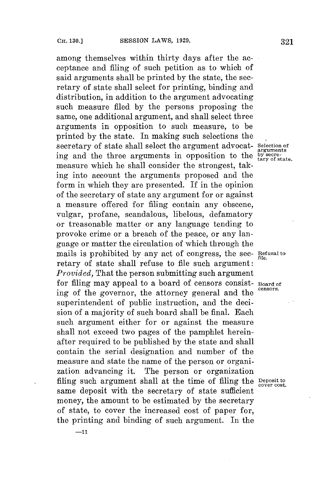**-11**

among themselves within thirty days after the acceptance and filing of such petition as to which of said arguments shall be printed **by** the state, the secretary of state shall select for printing, binding and distribution, in addition to the argument advocating such measure filed **by** the persons proposing the same, one additional argument, and shall select three arguments in opposition to such measure, to be printed **by** the state. In making such selections the secretary of state shall select the argument advocat- **Selection of** ing and the three arguments in opposition to the **by secre**measure which he shall consider the strongest, taking into account the arguments proposed and the form in which they are presented. If in the opinion of the secretary of state any argument **for** or against a measure offered **for** filing contain any obscene, vulgar, profane, scandalous, libelous, defamatory or treasonable matter or any language tending to provoke crime or a breach of the peace, or any language or matter the circulation of which through the mails is prohibited **by** any act of congress, the see- **Refusal to file.** retary of state shall refuse to file such argument: *Provided,* That the person submitting such argument for filing may appeal to a board of censors consist- **Board of** ing of the governor, the attorney general and the superintendent of public instruction, and the decision of a majority of such board shall be final. Each such argument either for or against the measure shall not exceed two pages of the pamphlet hereinafter required to be published **by** the state and shall contain the serial designation and number of the measure and state the name of the person or organization advancing it. The person or organization filing such argument shall at the time of filing the **Deposit to** *cover cost.* same deposit with the secretary of state sufficient money, the amount to be estimated **by** the secretary of state, to cover the increased cost of paper for, the printing and binding of such argument. In the